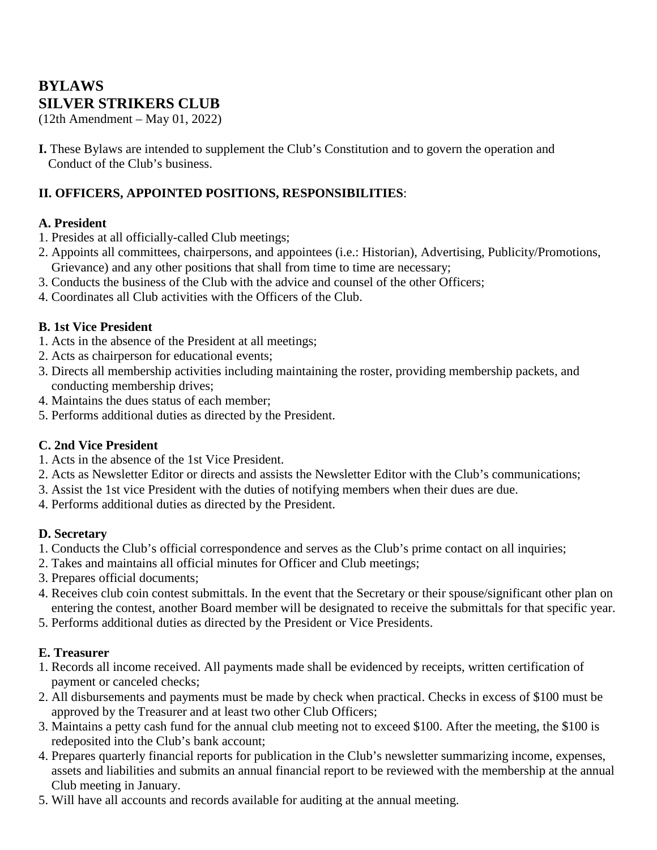# **BYLAWS SILVER STRIKERS CLUB**

(12th Amendment – May 01, 2022)

**I.** These Bylaws are intended to supplement the Club's Constitution and to govern the operation and Conduct of the Club's business.

## **II. OFFICERS, APPOINTED POSITIONS, RESPONSIBILITIES**:

#### **A. President**

- 1. Presides at all officially-called Club meetings;
- 2. Appoints all committees, chairpersons, and appointees (i.e.: Historian), Advertising, Publicity/Promotions, Grievance) and any other positions that shall from time to time are necessary;
- 3. Conducts the business of the Club with the advice and counsel of the other Officers;
- 4. Coordinates all Club activities with the Officers of the Club.

### **B. 1st Vice President**

- 1. Acts in the absence of the President at all meetings;
- 2. Acts as chairperson for educational events;
- 3. Directs all membership activities including maintaining the roster, providing membership packets, and conducting membership drives;
- 4. Maintains the dues status of each member;
- 5. Performs additional duties as directed by the President.

#### **C. 2nd Vice President**

- 1. Acts in the absence of the 1st Vice President.
- 2. Acts as Newsletter Editor or directs and assists the Newsletter Editor with the Club's communications;
- 3. Assist the 1st vice President with the duties of notifying members when their dues are due.
- 4. Performs additional duties as directed by the President.

#### **D. Secretary**

- 1. Conducts the Club's official correspondence and serves as the Club's prime contact on all inquiries;
- 2. Takes and maintains all official minutes for Officer and Club meetings;
- 3. Prepares official documents;
- 4. Receives club coin contest submittals. In the event that the Secretary or their spouse/significant other plan on entering the contest, another Board member will be designated to receive the submittals for that specific year.
- 5. Performs additional duties as directed by the President or Vice Presidents.

## **E. Treasurer**

- 1. Records all income received. All payments made shall be evidenced by receipts, written certification of payment or canceled checks;
- 2. All disbursements and payments must be made by check when practical. Checks in excess of \$100 must be approved by the Treasurer and at least two other Club Officers;
- 3. Maintains a petty cash fund for the annual club meeting not to exceed \$100. After the meeting, the \$100 is redeposited into the Club's bank account;
- 4. Prepares quarterly financial reports for publication in the Club's newsletter summarizing income, expenses, assets and liabilities and submits an annual financial report to be reviewed with the membership at the annual Club meeting in January.
- 5. Will have all accounts and records available for auditing at the annual meeting.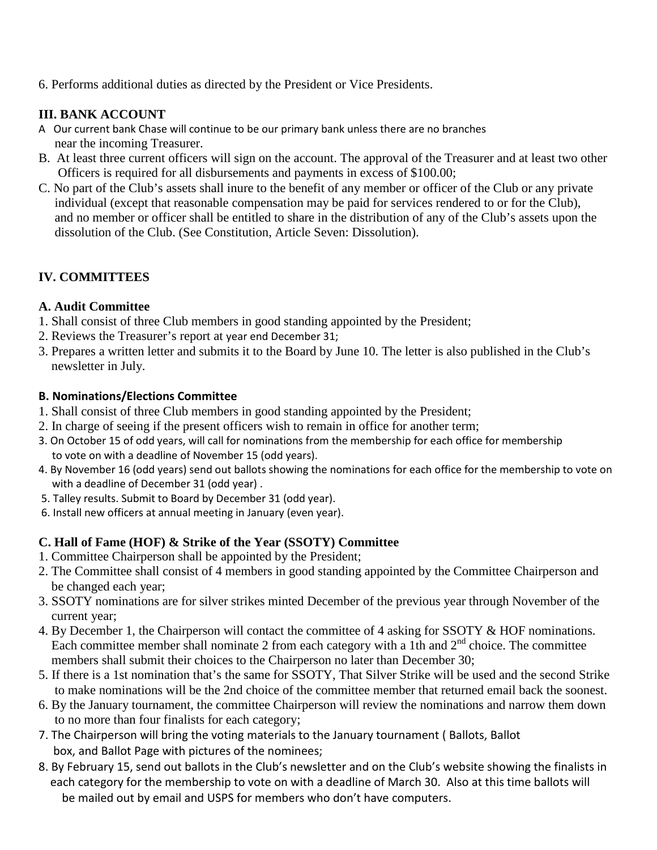6. Performs additional duties as directed by the President or Vice Presidents.

### **III. BANK ACCOUNT**

- A Our current bank Chase will continue to be our primary bank unless there are no branches near the incoming Treasurer.
- B. At least three current officers will sign on the account. The approval of the Treasurer and at least two other Officers is required for all disbursements and payments in excess of \$100.00;
- C. No part of the Club's assets shall inure to the benefit of any member or officer of the Club or any private individual (except that reasonable compensation may be paid for services rendered to or for the Club), and no member or officer shall be entitled to share in the distribution of any of the Club's assets upon the dissolution of the Club. (See Constitution, Article Seven: Dissolution).

### **IV. COMMITTEES**

#### **A. Audit Committee**

- 1. Shall consist of three Club members in good standing appointed by the President;
- 2. Reviews the Treasurer's report at year end December 31;
- 3. Prepares a written letter and submits it to the Board by June 10. The letter is also published in the Club's newsletter in July.

#### **B. Nominations/Elections Committee**

- 1. Shall consist of three Club members in good standing appointed by the President;
- 2. In charge of seeing if the present officers wish to remain in office for another term;
- 3. On October 15 of odd years, will call for nominations from the membership for each office for membership to vote on with a deadline of November 15 (odd years).
- 4. By November 16 (odd years) send out ballots showing the nominations for each office for the membership to vote on with a deadline of December 31 (odd year) .
- 5. Talley results. Submit to Board by December 31 (odd year).
- 6. Install new officers at annual meeting in January (even year).

#### **C. Hall of Fame (HOF) & Strike of the Year (SSOTY) Committee**

- 1. Committee Chairperson shall be appointed by the President;
- 2. The Committee shall consist of 4 members in good standing appointed by the Committee Chairperson and be changed each year;
- 3. SSOTY nominations are for silver strikes minted December of the previous year through November of the current year;
- 4. By December 1, the Chairperson will contact the committee of 4 asking for SSOTY & HOF nominations. Each committee member shall nominate 2 from each category with a 1th and  $2<sup>nd</sup>$  choice. The committee members shall submit their choices to the Chairperson no later than December 30;
- 5. If there is a 1st nomination that's the same for SSOTY, That Silver Strike will be used and the second Strike to make nominations will be the 2nd choice of the committee member that returned email back the soonest.
- 6. By the January tournament, the committee Chairperson will review the nominations and narrow them down to no more than four finalists for each category;
- 7. The Chairperson will bring the voting materials to the January tournament ( Ballots, Ballot box, and Ballot Page with pictures of the nominees;
- 8. By February 15, send out ballots in the Club's newsletter and on the Club's website showing the finalists in each category for the membership to vote on with a deadline of March 30. Also at this time ballots will be mailed out by email and USPS for members who don't have computers.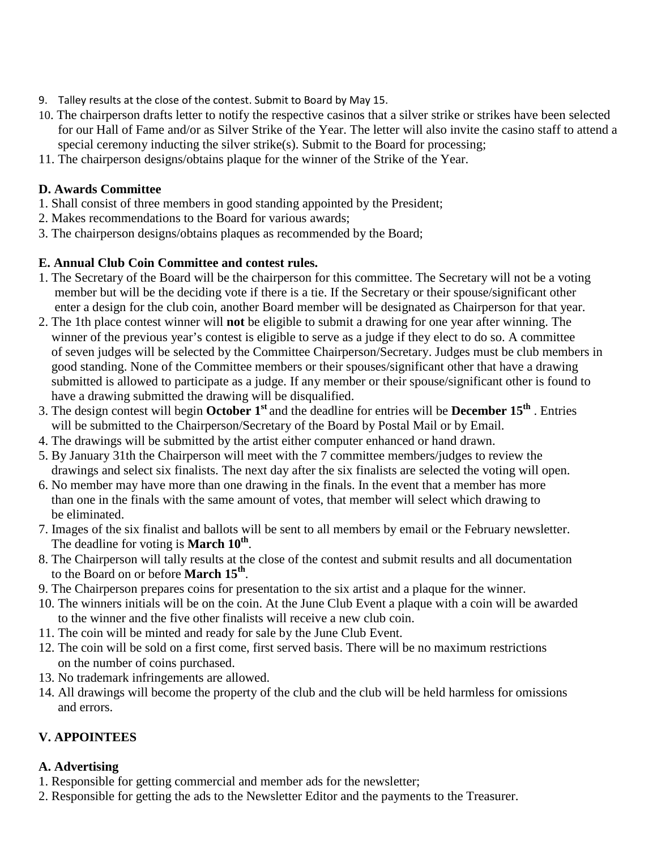- 9. Talley results at the close of the contest. Submit to Board by May 15.
- 10. The chairperson drafts letter to notify the respective casinos that a silver strike or strikes have been selected for our Hall of Fame and/or as Silver Strike of the Year. The letter will also invite the casino staff to attend a special ceremony inducting the silver strike(s). Submit to the Board for processing;
- 11. The chairperson designs/obtains plaque for the winner of the Strike of the Year.

## **D. Awards Committee**

- 1. Shall consist of three members in good standing appointed by the President;
- 2. Makes recommendations to the Board for various awards;
- 3. The chairperson designs/obtains plaques as recommended by the Board;

## **E. Annual Club Coin Committee and contest rules.**

- 1. The Secretary of the Board will be the chairperson for this committee. The Secretary will not be a voting member but will be the deciding vote if there is a tie. If the Secretary or their spouse/significant other enter a design for the club coin, another Board member will be designated as Chairperson for that year.
- 2. The 1th place contest winner will **not** be eligible to submit a drawing for one year after winning. The winner of the previous year's contest is eligible to serve as a judge if they elect to do so. A committee of seven judges will be selected by the Committee Chairperson/Secretary. Judges must be club members in good standing. None of the Committee members or their spouses/significant other that have a drawing submitted is allowed to participate as a judge. If any member or their spouse/significant other is found to have a drawing submitted the drawing will be disqualified.
- 3. The design contest will begin **October 1st** and the deadline for entries will be **December 15th** . Entries will be submitted to the Chairperson/Secretary of the Board by Postal Mail or by Email.
- 4. The drawings will be submitted by the artist either computer enhanced or hand drawn.
- 5. By January 31th the Chairperson will meet with the 7 committee members/judges to review the drawings and select six finalists. The next day after the six finalists are selected the voting will open.
- 6. No member may have more than one drawing in the finals. In the event that a member has more than one in the finals with the same amount of votes, that member will select which drawing to be eliminated.
- 7. Images of the six finalist and ballots will be sent to all members by email or the February newsletter. The deadline for voting is **March 10th**.
- 8. The Chairperson will tally results at the close of the contest and submit results and all documentation to the Board on or before **March 15th**.
- 9. The Chairperson prepares coins for presentation to the six artist and a plaque for the winner.
- 10. The winners initials will be on the coin. At the June Club Event a plaque with a coin will be awarded to the winner and the five other finalists will receive a new club coin.
- 11. The coin will be minted and ready for sale by the June Club Event.
- 12. The coin will be sold on a first come, first served basis. There will be no maximum restrictions on the number of coins purchased.
- 13. No trademark infringements are allowed.
- 14. All drawings will become the property of the club and the club will be held harmless for omissions and errors.

# **V. APPOINTEES**

## **A. Advertising**

- 1. Responsible for getting commercial and member ads for the newsletter;
- 2. Responsible for getting the ads to the Newsletter Editor and the payments to the Treasurer.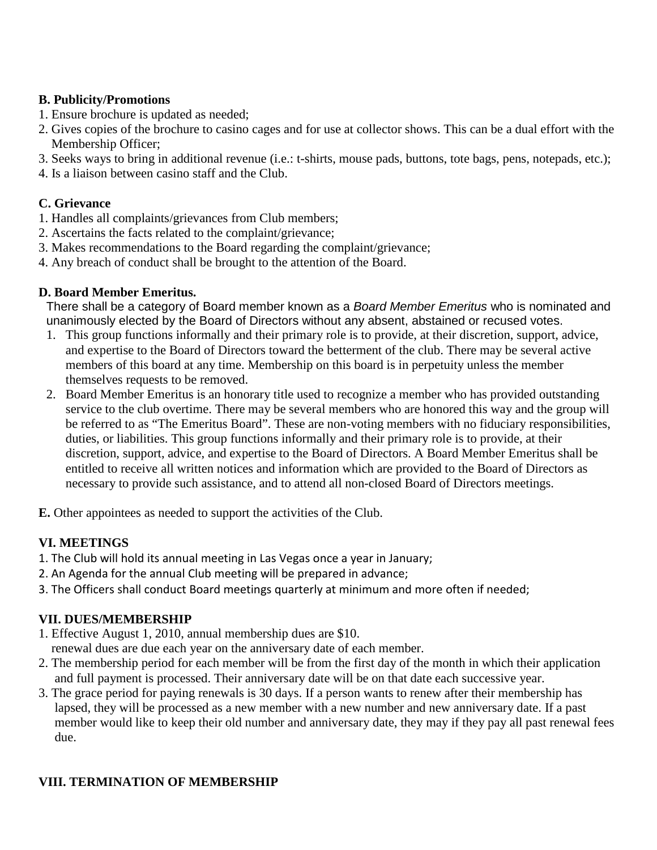### **B. Publicity/Promotions**

- 1. Ensure brochure is updated as needed;
- 2. Gives copies of the brochure to casino cages and for use at collector shows. This can be a dual effort with the Membership Officer;
- 3. Seeks ways to bring in additional revenue (i.e.: t-shirts, mouse pads, buttons, tote bags, pens, notepads, etc.);
- 4. Is a liaison between casino staff and the Club.

## **C. Grievance**

- 1. Handles all complaints/grievances from Club members;
- 2. Ascertains the facts related to the complaint/grievance;
- 3. Makes recommendations to the Board regarding the complaint/grievance;
- 4. Any breach of conduct shall be brought to the attention of the Board.

## **D. Board Member Emeritus.**

There shall be a category of Board member known as a *Board Member Emeritus* who is nominated and unanimously elected by the Board of Directors without any absent, abstained or recused votes.

- 1. This group functions informally and their primary role is to provide, at their discretion, support, advice, and expertise to the Board of Directors toward the betterment of the club. There may be several active members of this board at any time. Membership on this board is in perpetuity unless the member themselves requests to be removed.
- 2. Board Member Emeritus is an honorary title used to recognize a member who has provided outstanding service to the club overtime. There may be several members who are honored this way and the group will be referred to as "The Emeritus Board". These are non-voting members with no fiduciary responsibilities, duties, or liabilities. This group functions informally and their primary role is to provide, at their discretion, support, advice, and expertise to the Board of Directors. A Board Member Emeritus shall be entitled to receive all written notices and information which are provided to the Board of Directors as necessary to provide such assistance, and to attend all non-closed Board of Directors meetings.
- **E.** Other appointees as needed to support the activities of the Club.

# **VI. MEETINGS**

- 1. The Club will hold its annual meeting in Las Vegas once a year in January;
- 2. An Agenda for the annual Club meeting will be prepared in advance;
- 3. The Officers shall conduct Board meetings quarterly at minimum and more often if needed;

## **VII. DUES/MEMBERSHIP**

1. Effective August 1, 2010, annual membership dues are \$10.

renewal dues are due each year on the anniversary date of each member.

- 2. The membership period for each member will be from the first day of the month in which their application and full payment is processed. Their anniversary date will be on that date each successive year.
- 3. The grace period for paying renewals is 30 days. If a person wants to renew after their membership has lapsed, they will be processed as a new member with a new number and new anniversary date. If a past member would like to keep their old number and anniversary date, they may if they pay all past renewal fees due.

# **VIII. TERMINATION OF MEMBERSHIP**